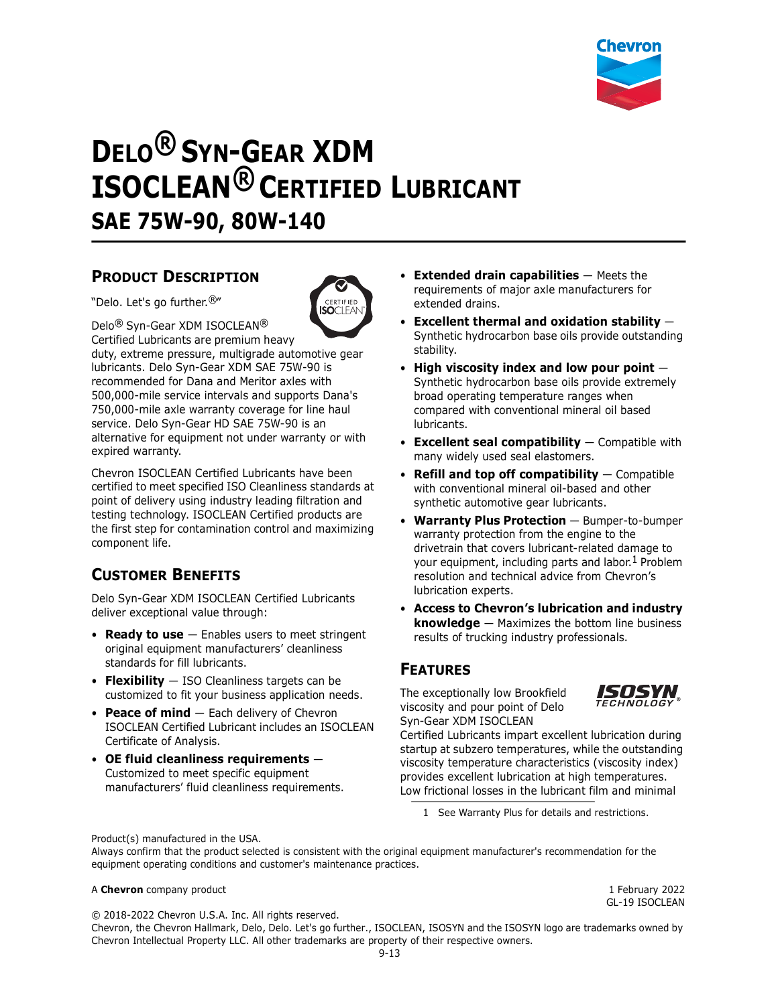

# **DELO® SYN-GEAR XDM ISOCLEAN® CERTIFIED LUBRICANT SAE 75W-90, 80W-140**

## **PRODUCT DESCRIPTION**

"Delo. Let's go further.®"



Delo® Syn-Gear XDM ISOCLEAN®

Certified Lubricants are premium heavy duty, extreme pressure, multigrade automotive gear lubricants. Delo Syn-Gear XDM SAE 75W-90 is recommended for Dana and Meritor axles with 500,000-mile service intervals and supports Dana's 750,000-mile axle warranty coverage for line haul service. Delo Syn-Gear HD SAE 75W-90 is an alternative for equipment not under warranty or with expired warranty.

Chevron ISOCLEAN Certified Lubricants have been certified to meet specified ISO Cleanliness standards at point of delivery using industry leading filtration and testing technology. ISOCLEAN Certified products are the first step for contamination control and maximizing component life.

## **CUSTOMER BENEFITS**

Delo Syn-Gear XDM ISOCLEAN Certified Lubricants deliver exceptional value through:

- **Ready to use** Enables users to meet stringent original equipment manufacturers' cleanliness standards for fill lubricants.
- **Flexibility** ISO Cleanliness targets can be customized to fit your business application needs.
- **Peace of mind** Each delivery of Chevron ISOCLEAN Certified Lubricant includes an ISOCLEAN Certificate of Analysis.
- **OE fluid cleanliness requirements** Customized to meet specific equipment manufacturers' fluid cleanliness requirements.
- **Extended drain capabilities** Meets the requirements of major axle manufacturers for extended drains.
- **Excellent thermal and oxidation stability** Synthetic hydrocarbon base oils provide outstanding stability.
- **High viscosity index and low pour point** Synthetic hydrocarbon base oils provide extremely broad operating temperature ranges when compared with conventional mineral oil based lubricants.
- **Excellent seal compatibility** Compatible with many widely used seal elastomers.
- **Refill and top off compatibility** Compatible with conventional mineral oil-based and other synthetic automotive gear lubricants.
- **Warranty Plus Protection** Bumper-to-bumper warranty protection from the engine to the drivetrain that covers lubricant-related damage to your equipment, including parts and labor.<sup>1</sup> Problem resolution and technical advice from Chevron's lubrication experts.
- **Access to Chevron's lubrication and industry knowledge** — Maximizes the bottom line business results of trucking industry professionals.

## **FEATURES**

The exceptionally low Brookfield viscosity and pour point of Delo Syn-Gear XDM ISOCLEAN



Certified Lubricants impart excellent lubrication during startup at subzero temperatures, while the outstanding viscosity temperature characteristics (viscosity index) provides excellent lubrication at high temperatures. Low frictional losses in the lubricant film and minimal

1 See Warranty Plus for details and restrictions.

Product(s) manufactured in the USA.

Always confirm that the product selected is consistent with the original equipment manufacturer's recommendation for the equipment operating conditions and customer's maintenance practices.

#### A **Chevron** company product 1 February 2022

GL-19 ISOCLEAN

© 2018-2022 Chevron U.S.A. Inc. All rights reserved. Chevron, the Chevron Hallmark, Delo, Delo. Let's go further., ISOCLEAN, ISOSYN and the ISOSYN logo are trademarks owned by Chevron Intellectual Property LLC. All other trademarks are property of their respective owners.